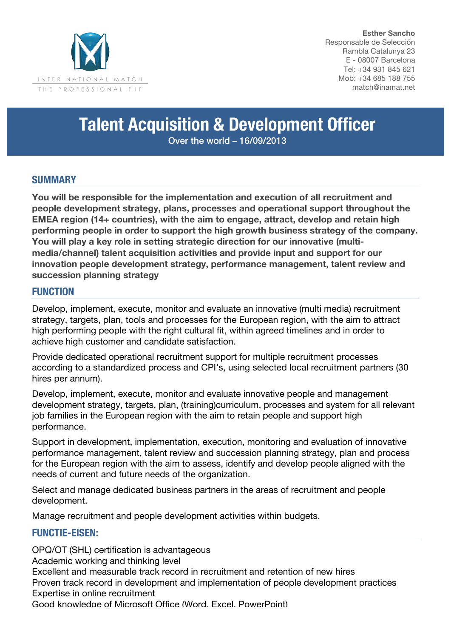

**Esther Sancho** Responsable de Selección Rambla Catalunya 23 E - 08007 Barcelona Tel: +34 931 845 621 Mob: +34 685 188 755 match@inamat.net

# **Talent Acquisition & Development Officer**

Over the world – 16/09/2013

# **SUMMARY**

**You will be responsible for the implementation and execution of all recruitment and people development strategy, plans, processes and operational support throughout the EMEA region (14+ countries), with the aim to engage, attract, develop and retain high performing people in order to support the high growth business strategy of the company. You will play a key role in setting strategic direction for our innovative (multimedia/channel) talent acquisition activities and provide input and support for our innovation people development strategy, performance management, talent review and succession planning strategy**

### **FUNCTION**

Develop, implement, execute, monitor and evaluate an innovative (multi media) recruitment strategy, targets, plan, tools and processes for the European region, with the aim to attract high performing people with the right cultural fit, within agreed timelines and in order to achieve high customer and candidate satisfaction.

Provide dedicated operational recruitment support for multiple recruitment processes according to a standardized process and CPI's, using selected local recruitment partners (30 hires per annum).

Develop, implement, execute, monitor and evaluate innovative people and management development strategy, targets, plan, (training)curriculum, processes and system for all relevant job families in the European region with the aim to retain people and support high performance.

Support in development, implementation, execution, monitoring and evaluation of innovative performance management, talent review and succession planning strategy, plan and process for the European region with the aim to assess, identify and develop people aligned with the needs of current and future needs of the organization.

Select and manage dedicated business partners in the areas of recruitment and people development.

Manage recruitment and people development activities within budgets.

# **FUNCTIE-EISEN:**

OPQ/OT (SHL) certification is advantageous Academic working and thinking level Excellent and measurable track record in recruitment and retention of new hires Proven track record in development and implementation of people development practices Expertise in online recruitment Good knowledge of Microsoft Office (Word, Excel, PowerPoint)